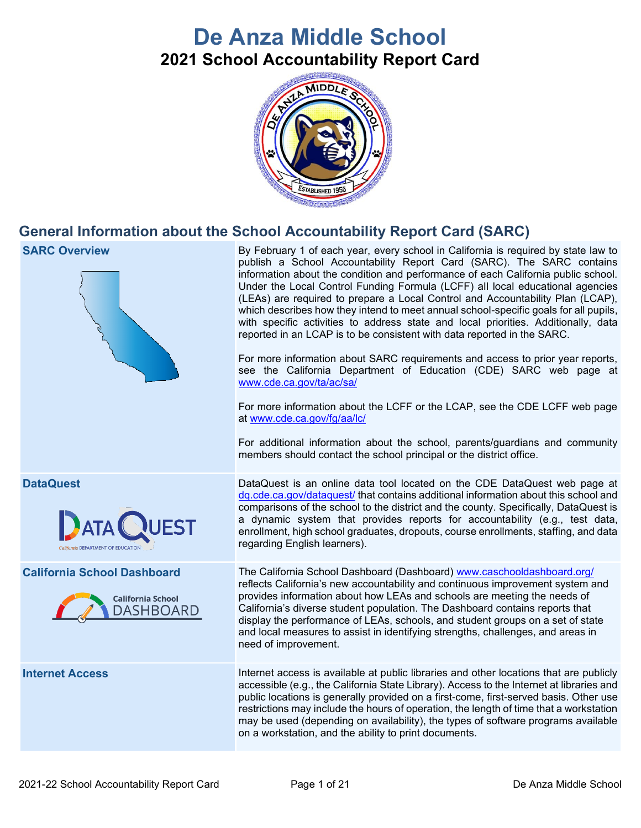# **De Anza Middle School 2021 School Accountability Report Card**



# **General Information about the School Accountability Report Card (SARC)**

| Under the Local Control Funding Formula (LCFF) all local educational agencies<br>(LEAs) are required to prepare a Local Control and Accountability Plan (LCAP),<br>which describes how they intend to meet annual school-specific goals for all pupils,<br>with specific activities to address state and local priorities. Additionally, data<br>reported in an LCAP is to be consistent with data reported in the SARC.<br>For more information about SARC requirements and access to prior year reports,<br>see the California Department of Education (CDE) SARC web page at<br>www.cde.ca.gov/ta/ac/sa/<br>For more information about the LCFF or the LCAP, see the CDE LCFF web page<br>at www.cde.ca.gov/fg/aa/lc/<br>For additional information about the school, parents/guardians and community<br>members should contact the school principal or the district office. |
|---------------------------------------------------------------------------------------------------------------------------------------------------------------------------------------------------------------------------------------------------------------------------------------------------------------------------------------------------------------------------------------------------------------------------------------------------------------------------------------------------------------------------------------------------------------------------------------------------------------------------------------------------------------------------------------------------------------------------------------------------------------------------------------------------------------------------------------------------------------------------------|
| DataQuest is an online data tool located on the CDE DataQuest web page at<br>dq.cde.ca.gov/dataquest/ that contains additional information about this school and<br>comparisons of the school to the district and the county. Specifically, DataQuest is<br>a dynamic system that provides reports for accountability (e.g., test data,<br>enrollment, high school graduates, dropouts, course enrollments, staffing, and data<br>regarding English learners).                                                                                                                                                                                                                                                                                                                                                                                                                  |
| The California School Dashboard (Dashboard) www.caschooldashboard.org/<br>reflects California's new accountability and continuous improvement system and<br>provides information about how LEAs and schools are meeting the needs of<br>California's diverse student population. The Dashboard contains reports that<br>display the performance of LEAs, schools, and student groups on a set of state<br>and local measures to assist in identifying strengths, challenges, and areas in<br>need of improvement.                                                                                                                                                                                                                                                                                                                                                               |
| Internet access is available at public libraries and other locations that are publicly<br>accessible (e.g., the California State Library). Access to the Internet at libraries and<br>public locations is generally provided on a first-come, first-served basis. Other use<br>restrictions may include the hours of operation, the length of time that a workstation<br>may be used (depending on availability), the types of software programs available<br>on a workstation, and the ability to print documents.                                                                                                                                                                                                                                                                                                                                                             |
|                                                                                                                                                                                                                                                                                                                                                                                                                                                                                                                                                                                                                                                                                                                                                                                                                                                                                 |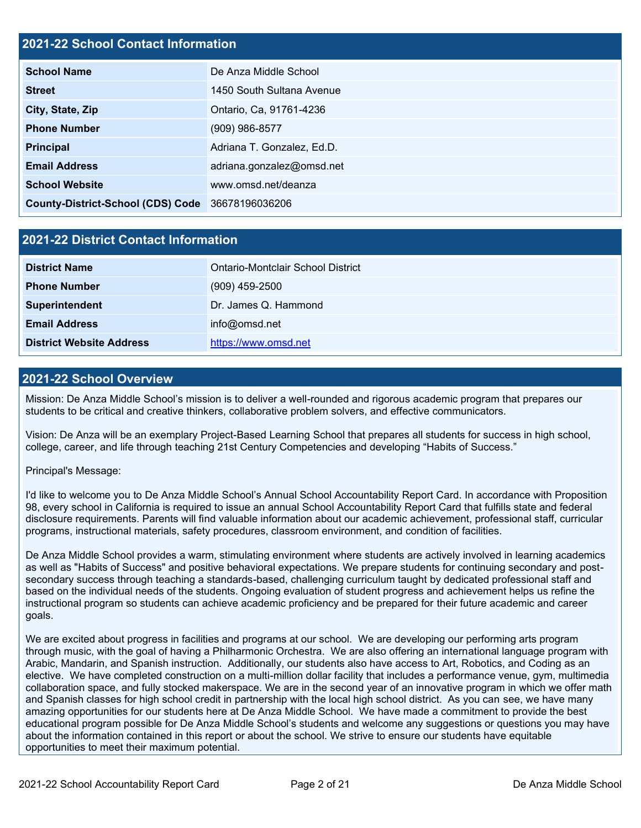#### **2021-22 School Contact Information**

| <b>School Name</b>                               | De Anza Middle School      |
|--------------------------------------------------|----------------------------|
| <b>Street</b>                                    | 1450 South Sultana Avenue  |
| City, State, Zip                                 | Ontario, Ca, 91761-4236    |
| <b>Phone Number</b>                              | (909) 986-8577             |
| <b>Principal</b>                                 | Adriana T. Gonzalez, Ed.D. |
| <b>Email Address</b>                             | adriana.gonzalez@omsd.net  |
| <b>School Website</b>                            | www.omsd.net/deanza        |
| County-District-School (CDS) Code 36678196036206 |                            |

#### **2021-22 District Contact Information**

| <b>District Name</b>            | Ontario-Montclair School District |
|---------------------------------|-----------------------------------|
| <b>Phone Number</b>             | $(909)$ 459-2500                  |
| <b>Superintendent</b>           | Dr. James Q. Hammond              |
| <b>Email Address</b>            | info@omsd.net                     |
| <b>District Website Address</b> | https://www.omsd.net              |

#### **2021-22 School Overview**

Mission: De Anza Middle School's mission is to deliver a well-rounded and rigorous academic program that prepares our students to be critical and creative thinkers, collaborative problem solvers, and effective communicators.

Vision: De Anza will be an exemplary Project-Based Learning School that prepares all students for success in high school, college, career, and life through teaching 21st Century Competencies and developing "Habits of Success."

#### Principal's Message:

I'd like to welcome you to De Anza Middle School's Annual School Accountability Report Card. In accordance with Proposition 98, every school in California is required to issue an annual School Accountability Report Card that fulfills state and federal disclosure requirements. Parents will find valuable information about our academic achievement, professional staff, curricular programs, instructional materials, safety procedures, classroom environment, and condition of facilities.

De Anza Middle School provides a warm, stimulating environment where students are actively involved in learning academics as well as "Habits of Success" and positive behavioral expectations. We prepare students for continuing secondary and postsecondary success through teaching a standards-based, challenging curriculum taught by dedicated professional staff and based on the individual needs of the students. Ongoing evaluation of student progress and achievement helps us refine the instructional program so students can achieve academic proficiency and be prepared for their future academic and career goals.

We are excited about progress in facilities and programs at our school. We are developing our performing arts program through music, with the goal of having a Philharmonic Orchestra. We are also offering an international language program with Arabic, Mandarin, and Spanish instruction. Additionally, our students also have access to Art, Robotics, and Coding as an elective. We have completed construction on a multi-million dollar facility that includes a performance venue, gym, multimedia collaboration space, and fully stocked makerspace. We are in the second year of an innovative program in which we offer math and Spanish classes for high school credit in partnership with the local high school district. As you can see, we have many amazing opportunities for our students here at De Anza Middle School. We have made a commitment to provide the best educational program possible for De Anza Middle School's students and welcome any suggestions or questions you may have about the information contained in this report or about the school. We strive to ensure our students have equitable opportunities to meet their maximum potential.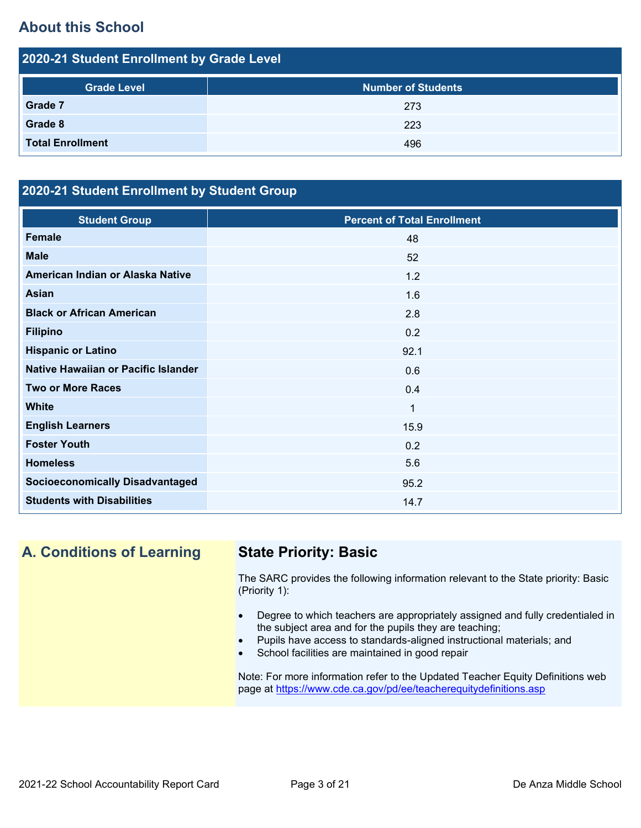# **About this School**

| 2020-21 Student Enrollment by Grade Level |                           |  |  |  |
|-------------------------------------------|---------------------------|--|--|--|
| <b>Grade Level</b>                        | <b>Number of Students</b> |  |  |  |
| Grade 7                                   | 273                       |  |  |  |
| Grade 8                                   | 223                       |  |  |  |
| <b>Total Enrollment</b>                   | 496                       |  |  |  |

### **2020-21 Student Enrollment by Student Group**

| <b>Student Group</b>                   | <b>Percent of Total Enrollment</b> |
|----------------------------------------|------------------------------------|
| <b>Female</b>                          | 48                                 |
| <b>Male</b>                            | 52                                 |
| American Indian or Alaska Native       | 1.2                                |
| <b>Asian</b>                           | 1.6                                |
| <b>Black or African American</b>       | 2.8                                |
| <b>Filipino</b>                        | 0.2                                |
| <b>Hispanic or Latino</b>              | 92.1                               |
| Native Hawaiian or Pacific Islander    | 0.6                                |
| <b>Two or More Races</b>               | 0.4                                |
| <b>White</b>                           | 1                                  |
| <b>English Learners</b>                | 15.9                               |
| <b>Foster Youth</b>                    | 0.2                                |
| <b>Homeless</b>                        | 5.6                                |
| <b>Socioeconomically Disadvantaged</b> | 95.2                               |
| <b>Students with Disabilities</b>      | 14.7                               |

# **A. Conditions of Learning State Priority: Basic**

The SARC provides the following information relevant to the State priority: Basic (Priority 1):

- Degree to which teachers are appropriately assigned and fully credentialed in the subject area and for the pupils they are teaching;
- Pupils have access to standards-aligned instructional materials; and
- School facilities are maintained in good repair

Note: For more information refer to the Updated Teacher Equity Definitions web page at<https://www.cde.ca.gov/pd/ee/teacherequitydefinitions.asp>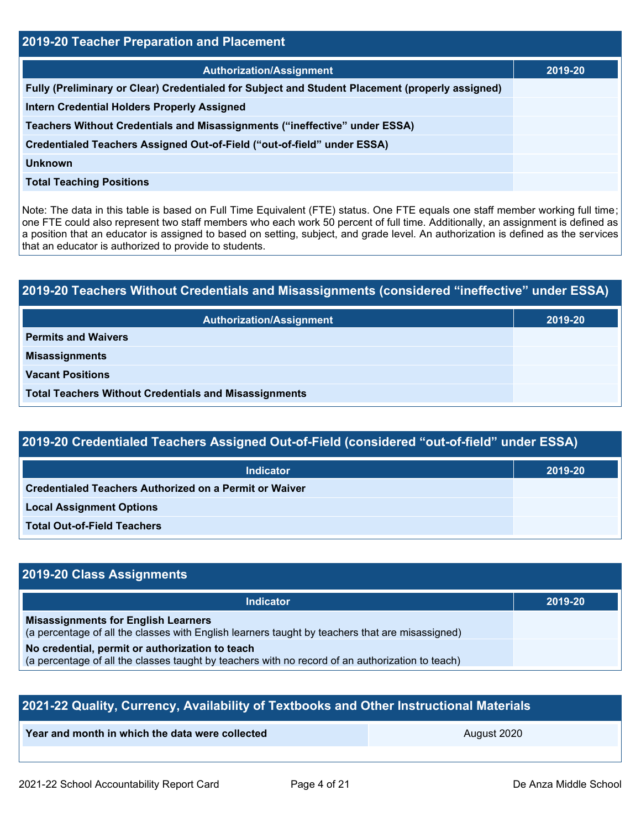| 2019-20 Teacher Preparation and Placement                                                       |         |  |  |
|-------------------------------------------------------------------------------------------------|---------|--|--|
| <b>Authorization/Assignment</b>                                                                 | 2019-20 |  |  |
| Fully (Preliminary or Clear) Credentialed for Subject and Student Placement (properly assigned) |         |  |  |
| <b>Intern Credential Holders Properly Assigned</b>                                              |         |  |  |
| Teachers Without Credentials and Misassignments ("ineffective" under ESSA)                      |         |  |  |
| Credentialed Teachers Assigned Out-of-Field ("out-of-field" under ESSA)                         |         |  |  |
| <b>Unknown</b>                                                                                  |         |  |  |
| <b>Total Teaching Positions</b>                                                                 |         |  |  |
|                                                                                                 |         |  |  |

Note: The data in this table is based on Full Time Equivalent (FTE) status. One FTE equals one staff member working full time; one FTE could also represent two staff members who each work 50 percent of full time. Additionally, an assignment is defined as a position that an educator is assigned to based on setting, subject, and grade level. An authorization is defined as the services that an educator is authorized to provide to students.

# **2019-20 Teachers Without Credentials and Misassignments (considered "ineffective" under ESSA) Authorization/Assignment 2019-20 Permits and Waivers Misassignments Vacant Positions Total Teachers Without Credentials and Misassignments**

## **2019-20 Credentialed Teachers Assigned Out-of-Field (considered "out-of-field" under ESSA)**

| <b>Indicator</b>                                       | 2019-20 |
|--------------------------------------------------------|---------|
| Credentialed Teachers Authorized on a Permit or Waiver |         |
| <b>Local Assignment Options</b>                        |         |
| <b>Total Out-of-Field Teachers</b>                     |         |

### **2019-20 Class Assignments**

| <b>Indicator</b>                                                                                                                              | 2019-20 |
|-----------------------------------------------------------------------------------------------------------------------------------------------|---------|
| <b>Misassignments for English Learners</b><br>(a percentage of all the classes with English learners taught by teachers that are misassigned) |         |
| No credential, permit or authorization to teach                                                                                               |         |
| (a percentage of all the classes taught by teachers with no record of an authorization to teach)                                              |         |

| 2021-22 Quality, Currency, Availability of Textbooks and Other Instructional Materials |  |  |  |  |  |
|----------------------------------------------------------------------------------------|--|--|--|--|--|
| Year and month in which the data were collected<br>August 2020                         |  |  |  |  |  |
|                                                                                        |  |  |  |  |  |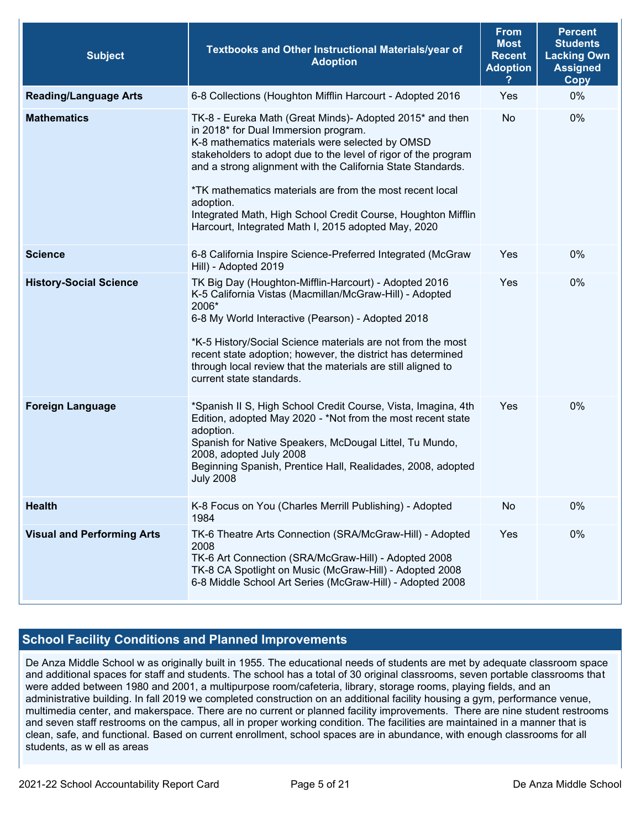| <b>Subject</b>                    | Textbooks and Other Instructional Materials/year of<br><b>Adoption</b>                                                                                                                                                                                                                                                                                                                                                                                                               | <b>From</b><br><b>Most</b><br><b>Recent</b><br><b>Adoption</b> | <b>Percent</b><br><b>Students</b><br><b>Lacking Own</b><br><b>Assigned</b><br><b>Copy</b> |
|-----------------------------------|--------------------------------------------------------------------------------------------------------------------------------------------------------------------------------------------------------------------------------------------------------------------------------------------------------------------------------------------------------------------------------------------------------------------------------------------------------------------------------------|----------------------------------------------------------------|-------------------------------------------------------------------------------------------|
| <b>Reading/Language Arts</b>      | 6-8 Collections (Houghton Mifflin Harcourt - Adopted 2016                                                                                                                                                                                                                                                                                                                                                                                                                            | Yes                                                            | 0%                                                                                        |
| <b>Mathematics</b>                | TK-8 - Eureka Math (Great Minds)- Adopted 2015* and then<br>in 2018* for Dual Immersion program.<br>K-8 mathematics materials were selected by OMSD<br>stakeholders to adopt due to the level of rigor of the program<br>and a strong alignment with the California State Standards.<br>*TK mathematics materials are from the most recent local<br>adoption.<br>Integrated Math, High School Credit Course, Houghton Mifflin<br>Harcourt, Integrated Math I, 2015 adopted May, 2020 | No.                                                            | 0%                                                                                        |
| <b>Science</b>                    | 6-8 California Inspire Science-Preferred Integrated (McGraw<br>Hill) - Adopted 2019                                                                                                                                                                                                                                                                                                                                                                                                  | Yes                                                            | 0%                                                                                        |
| <b>History-Social Science</b>     | TK Big Day (Houghton-Mifflin-Harcourt) - Adopted 2016<br>K-5 California Vistas (Macmillan/McGraw-Hill) - Adopted<br>2006*<br>6-8 My World Interactive (Pearson) - Adopted 2018<br>*K-5 History/Social Science materials are not from the most<br>recent state adoption; however, the district has determined<br>through local review that the materials are still aligned to<br>current state standards.                                                                             | Yes                                                            | 0%                                                                                        |
| <b>Foreign Language</b>           | *Spanish II S, High School Credit Course, Vista, Imagina, 4th<br>Edition, adopted May 2020 - *Not from the most recent state<br>adoption.<br>Spanish for Native Speakers, McDougal Littel, Tu Mundo,<br>2008, adopted July 2008<br>Beginning Spanish, Prentice Hall, Realidades, 2008, adopted<br><b>July 2008</b>                                                                                                                                                                   | Yes                                                            | 0%                                                                                        |
| <b>Health</b>                     | K-8 Focus on You (Charles Merrill Publishing) - Adopted<br>1984                                                                                                                                                                                                                                                                                                                                                                                                                      | No                                                             | 0%                                                                                        |
| <b>Visual and Performing Arts</b> | TK-6 Theatre Arts Connection (SRA/McGraw-Hill) - Adopted<br>2008<br>TK-6 Art Connection (SRA/McGraw-Hill) - Adopted 2008<br>TK-8 CA Spotlight on Music (McGraw-Hill) - Adopted 2008<br>6-8 Middle School Art Series (McGraw-Hill) - Adopted 2008                                                                                                                                                                                                                                     | Yes                                                            | 0%                                                                                        |

#### **School Facility Conditions and Planned Improvements**

De Anza Middle School w as originally built in 1955. The educational needs of students are met by adequate classroom space and additional spaces for staff and students. The school has a total of 30 original classrooms, seven portable classrooms that were added between 1980 and 2001, a multipurpose room/cafeteria, library, storage rooms, playing fields, and an administrative building. In fall 2019 we completed construction on an additional facility housing a gym, performance venue, multimedia center, and makerspace. There are no current or planned facility improvements. There are nine student restrooms and seven staff restrooms on the campus, all in proper working condition. The facilities are maintained in a manner that is clean, safe, and functional. Based on current enrollment, school spaces are in abundance, with enough classrooms for all students, as w ell as areas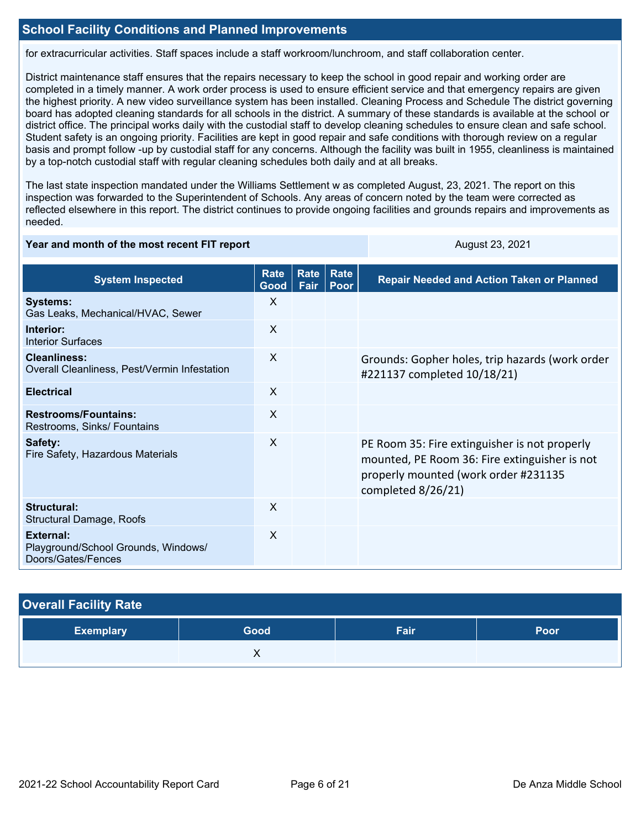for extracurricular activities. Staff spaces include a staff workroom/lunchroom, and staff collaboration center.

District maintenance staff ensures that the repairs necessary to keep the school in good repair and working order are completed in a timely manner. A work order process is used to ensure efficient service and that emergency repairs are given the highest priority. A new video surveillance system has been installed. Cleaning Process and Schedule The district governing board has adopted cleaning standards for all schools in the district. A summary of these standards is available at the school or district office. The principal works daily with the custodial staff to develop cleaning schedules to ensure clean and safe school. Student safety is an ongoing priority. Facilities are kept in good repair and safe conditions with thorough review on a regular basis and prompt follow -up by custodial staff for any concerns. Although the facility was built in 1955, cleanliness is maintained by a top-notch custodial staff with regular cleaning schedules both daily and at all breaks.

The last state inspection mandated under the Williams Settlement w as completed August, 23, 2021. The report on this inspection was forwarded to the Superintendent of Schools. Any areas of concern noted by the team were corrected as reflected elsewhere in this report. The district continues to provide ongoing facilities and grounds repairs and improvements as needed.

#### **Year and month of the most recent FIT report** August 23, 2021

| <b>System Inspected</b>                                                | Rate<br>Good | Rate<br>Fair | Rate<br>Poor | <b>Repair Needed and Action Taken or Planned</b>                                                                                                             |
|------------------------------------------------------------------------|--------------|--------------|--------------|--------------------------------------------------------------------------------------------------------------------------------------------------------------|
| <b>Systems:</b><br>Gas Leaks, Mechanical/HVAC, Sewer                   | X            |              |              |                                                                                                                                                              |
| Interior:<br><b>Interior Surfaces</b>                                  | $\times$     |              |              |                                                                                                                                                              |
| <b>Cleanliness:</b><br>Overall Cleanliness, Pest/Vermin Infestation    | $\times$     |              |              | Grounds: Gopher holes, trip hazards (work order<br>#221137 completed 10/18/21)                                                                               |
| <b>Electrical</b>                                                      | $\times$     |              |              |                                                                                                                                                              |
| <b>Restrooms/Fountains:</b><br>Restrooms, Sinks/ Fountains             | $\sf X$      |              |              |                                                                                                                                                              |
| Safety:<br>Fire Safety, Hazardous Materials                            | X            |              |              | PE Room 35: Fire extinguisher is not properly<br>mounted, PE Room 36: Fire extinguisher is not<br>properly mounted (work order #231135<br>completed 8/26/21) |
| Structural:<br>Structural Damage, Roofs                                | X            |              |              |                                                                                                                                                              |
| External:<br>Playground/School Grounds, Windows/<br>Doors/Gates/Fences | X            |              |              |                                                                                                                                                              |

| <b>Overall Facility Rate</b> |      |      |      |  |
|------------------------------|------|------|------|--|
| <b>Exemplary</b>             | Good | Fair | Poor |  |
|                              | X    |      |      |  |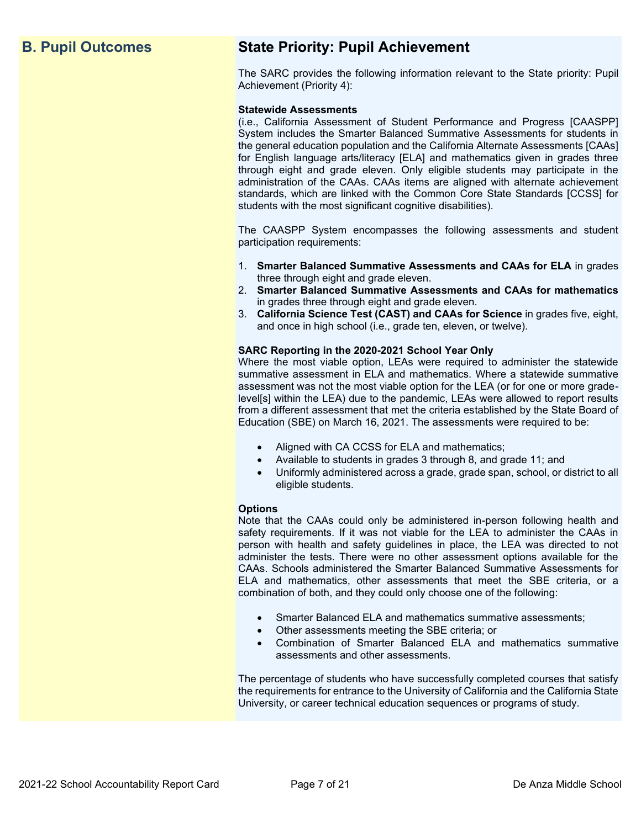# **B. Pupil Outcomes State Priority: Pupil Achievement**

The SARC provides the following information relevant to the State priority: Pupil Achievement (Priority 4):

#### **Statewide Assessments**

(i.e., California Assessment of Student Performance and Progress [CAASPP] System includes the Smarter Balanced Summative Assessments for students in the general education population and the California Alternate Assessments [CAAs] for English language arts/literacy [ELA] and mathematics given in grades three through eight and grade eleven. Only eligible students may participate in the administration of the CAAs. CAAs items are aligned with alternate achievement standards, which are linked with the Common Core State Standards [CCSS] for students with the most significant cognitive disabilities).

The CAASPP System encompasses the following assessments and student participation requirements:

- 1. **Smarter Balanced Summative Assessments and CAAs for ELA** in grades three through eight and grade eleven.
- 2. **Smarter Balanced Summative Assessments and CAAs for mathematics** in grades three through eight and grade eleven.
- 3. **California Science Test (CAST) and CAAs for Science** in grades five, eight, and once in high school (i.e., grade ten, eleven, or twelve).

#### **SARC Reporting in the 2020-2021 School Year Only**

Where the most viable option, LEAs were required to administer the statewide summative assessment in ELA and mathematics. Where a statewide summative assessment was not the most viable option for the LEA (or for one or more gradelevel[s] within the LEA) due to the pandemic, LEAs were allowed to report results from a different assessment that met the criteria established by the State Board of Education (SBE) on March 16, 2021. The assessments were required to be:

- Aligned with CA CCSS for ELA and mathematics;
- Available to students in grades 3 through 8, and grade 11; and
- Uniformly administered across a grade, grade span, school, or district to all eligible students.

#### **Options**

Note that the CAAs could only be administered in-person following health and safety requirements. If it was not viable for the LEA to administer the CAAs in person with health and safety guidelines in place, the LEA was directed to not administer the tests. There were no other assessment options available for the CAAs. Schools administered the Smarter Balanced Summative Assessments for ELA and mathematics, other assessments that meet the SBE criteria, or a combination of both, and they could only choose one of the following:

- Smarter Balanced ELA and mathematics summative assessments;
- Other assessments meeting the SBE criteria; or
- Combination of Smarter Balanced ELA and mathematics summative assessments and other assessments.

The percentage of students who have successfully completed courses that satisfy the requirements for entrance to the University of California and the California State University, or career technical education sequences or programs of study.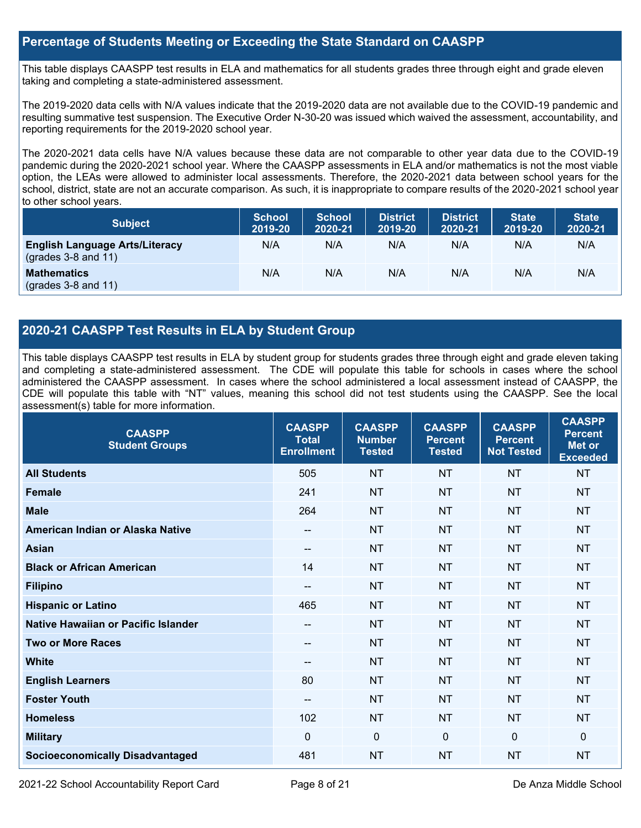#### **Percentage of Students Meeting or Exceeding the State Standard on CAASPP**

This table displays CAASPP test results in ELA and mathematics for all students grades three through eight and grade eleven taking and completing a state-administered assessment.

The 2019-2020 data cells with N/A values indicate that the 2019-2020 data are not available due to the COVID-19 pandemic and resulting summative test suspension. The Executive Order N-30-20 was issued which waived the assessment, accountability, and reporting requirements for the 2019-2020 school year.

The 2020-2021 data cells have N/A values because these data are not comparable to other year data due to the COVID-19 pandemic during the 2020-2021 school year. Where the CAASPP assessments in ELA and/or mathematics is not the most viable option, the LEAs were allowed to administer local assessments. Therefore, the 2020-2021 data between school years for the school, district, state are not an accurate comparison. As such, it is inappropriate to compare results of the 2020-2021 school year to other school years.

| <b>Subject</b>                                                       | <b>School</b><br>2019-20 | <b>School</b><br>2020-21 | <b>District</b><br>2019-20 | <b>District</b><br>2020-21 | <b>State</b><br>2019-20 | <b>State</b><br>2020-21 |
|----------------------------------------------------------------------|--------------------------|--------------------------|----------------------------|----------------------------|-------------------------|-------------------------|
| <b>English Language Arts/Literacy</b><br>$\left($ grades 3-8 and 11) | N/A                      | N/A                      | N/A                        | N/A                        | N/A                     | N/A                     |
| <b>Mathematics</b><br>$(grades 3-8 and 11)$                          | N/A                      | N/A                      | N/A                        | N/A                        | N/A                     | N/A                     |

#### **2020-21 CAASPP Test Results in ELA by Student Group**

This table displays CAASPP test results in ELA by student group for students grades three through eight and grade eleven taking and completing a state-administered assessment. The CDE will populate this table for schools in cases where the school administered the CAASPP assessment. In cases where the school administered a local assessment instead of CAASPP, the CDE will populate this table with "NT" values, meaning this school did not test students using the CAASPP. See the local assessment(s) table for more information.

| <b>CAASPP</b><br><b>Student Groups</b> | <b>CAASPP</b><br><b>Total</b><br><b>Enrollment</b> | <b>CAASPP</b><br><b>Number</b><br><b>Tested</b> | <b>CAASPP</b><br><b>Percent</b><br><b>Tested</b> | <b>CAASPP</b><br><b>Percent</b><br><b>Not Tested</b> | <b>CAASPP</b><br><b>Percent</b><br>Met or<br><b>Exceeded</b> |
|----------------------------------------|----------------------------------------------------|-------------------------------------------------|--------------------------------------------------|------------------------------------------------------|--------------------------------------------------------------|
| <b>All Students</b>                    | 505                                                | <b>NT</b>                                       | <b>NT</b>                                        | <b>NT</b>                                            | <b>NT</b>                                                    |
| <b>Female</b>                          | 241                                                | <b>NT</b>                                       | <b>NT</b>                                        | <b>NT</b>                                            | <b>NT</b>                                                    |
| <b>Male</b>                            | 264                                                | <b>NT</b>                                       | <b>NT</b>                                        | <b>NT</b>                                            | <b>NT</b>                                                    |
| American Indian or Alaska Native       | --                                                 | <b>NT</b>                                       | <b>NT</b>                                        | <b>NT</b>                                            | <b>NT</b>                                                    |
| <b>Asian</b>                           | --                                                 | <b>NT</b>                                       | <b>NT</b>                                        | <b>NT</b>                                            | <b>NT</b>                                                    |
| <b>Black or African American</b>       | 14                                                 | <b>NT</b>                                       | <b>NT</b>                                        | <b>NT</b>                                            | <b>NT</b>                                                    |
| <b>Filipino</b>                        | --                                                 | <b>NT</b>                                       | <b>NT</b>                                        | <b>NT</b>                                            | <b>NT</b>                                                    |
| <b>Hispanic or Latino</b>              | 465                                                | <b>NT</b>                                       | <b>NT</b>                                        | <b>NT</b>                                            | <b>NT</b>                                                    |
| Native Hawaiian or Pacific Islander    | --                                                 | <b>NT</b>                                       | <b>NT</b>                                        | <b>NT</b>                                            | <b>NT</b>                                                    |
| <b>Two or More Races</b>               | --                                                 | <b>NT</b>                                       | <b>NT</b>                                        | <b>NT</b>                                            | <b>NT</b>                                                    |
| <b>White</b>                           | --                                                 | <b>NT</b>                                       | <b>NT</b>                                        | <b>NT</b>                                            | <b>NT</b>                                                    |
| <b>English Learners</b>                | 80                                                 | <b>NT</b>                                       | <b>NT</b>                                        | <b>NT</b>                                            | <b>NT</b>                                                    |
| <b>Foster Youth</b>                    | --                                                 | <b>NT</b>                                       | <b>NT</b>                                        | <b>NT</b>                                            | <b>NT</b>                                                    |
| <b>Homeless</b>                        | 102                                                | <b>NT</b>                                       | <b>NT</b>                                        | <b>NT</b>                                            | <b>NT</b>                                                    |
| <b>Military</b>                        | $\mathbf{0}$                                       | $\mathbf 0$                                     | $\mathbf 0$                                      | $\mathbf 0$                                          | $\mathbf{0}$                                                 |
| <b>Socioeconomically Disadvantaged</b> | 481                                                | <b>NT</b>                                       | <b>NT</b>                                        | <b>NT</b>                                            | <b>NT</b>                                                    |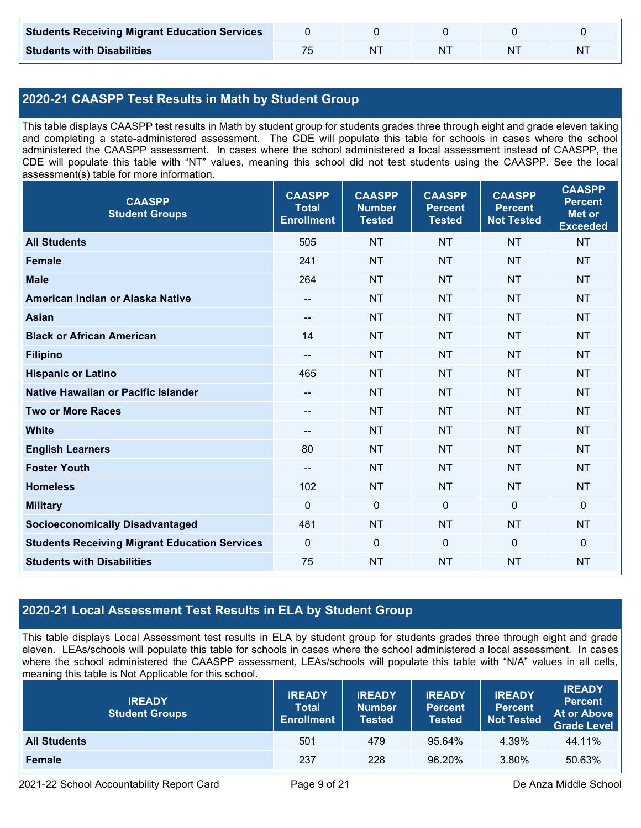| <b>Students Receiving Migrant Education Services</b> |  |    |  |
|------------------------------------------------------|--|----|--|
| <b>Students with Disabilities</b>                    |  | ΝI |  |

### **2020-21 CAASPP Test Results in Math by Student Group**

This table displays CAASPP test results in Math by student group for students grades three through eight and grade eleven taking and completing a state-administered assessment. The CDE will populate this table for schools in cases where the school administered the CAASPP assessment. In cases where the school administered a local assessment instead of CAASPP, the CDE will populate this table with "NT" values, meaning this school did not test students using the CAASPP. See the local assessment(s) table for more information.

| <b>CAASPP</b><br><b>Student Groups</b>               | <b>CAASPP</b><br><b>Total</b><br><b>Enrollment</b> | <b>CAASPP</b><br><b>Number</b><br><b>Tested</b> | <b>CAASPP</b><br><b>Percent</b><br><b>Tested</b> | <b>CAASPP</b><br><b>Percent</b><br><b>Not Tested</b> | <b>CAASPP</b><br><b>Percent</b><br><b>Met or</b><br><b>Exceeded</b> |
|------------------------------------------------------|----------------------------------------------------|-------------------------------------------------|--------------------------------------------------|------------------------------------------------------|---------------------------------------------------------------------|
| <b>All Students</b>                                  | 505                                                | <b>NT</b>                                       | <b>NT</b>                                        | <b>NT</b>                                            | <b>NT</b>                                                           |
| <b>Female</b>                                        | 241                                                | <b>NT</b>                                       | <b>NT</b>                                        | <b>NT</b>                                            | <b>NT</b>                                                           |
| <b>Male</b>                                          | 264                                                | <b>NT</b>                                       | <b>NT</b>                                        | <b>NT</b>                                            | <b>NT</b>                                                           |
| American Indian or Alaska Native                     | $\qquad \qquad -$                                  | <b>NT</b>                                       | <b>NT</b>                                        | <b>NT</b>                                            | <b>NT</b>                                                           |
| <b>Asian</b>                                         | --                                                 | <b>NT</b>                                       | <b>NT</b>                                        | <b>NT</b>                                            | <b>NT</b>                                                           |
| <b>Black or African American</b>                     | 14                                                 | <b>NT</b>                                       | <b>NT</b>                                        | <b>NT</b>                                            | <b>NT</b>                                                           |
| <b>Filipino</b>                                      | --                                                 | <b>NT</b>                                       | <b>NT</b>                                        | <b>NT</b>                                            | <b>NT</b>                                                           |
| <b>Hispanic or Latino</b>                            | 465                                                | <b>NT</b>                                       | <b>NT</b>                                        | <b>NT</b>                                            | NT                                                                  |
| Native Hawaiian or Pacific Islander                  | $-$                                                | <b>NT</b>                                       | <b>NT</b>                                        | <b>NT</b>                                            | <b>NT</b>                                                           |
| <b>Two or More Races</b>                             | $-$                                                | <b>NT</b>                                       | <b>NT</b>                                        | <b>NT</b>                                            | <b>NT</b>                                                           |
| <b>White</b>                                         | $\qquad \qquad -$                                  | <b>NT</b>                                       | <b>NT</b>                                        | <b>NT</b>                                            | <b>NT</b>                                                           |
| <b>English Learners</b>                              | 80                                                 | <b>NT</b>                                       | <b>NT</b>                                        | <b>NT</b>                                            | <b>NT</b>                                                           |
| <b>Foster Youth</b>                                  | $\overline{\phantom{a}}$                           | <b>NT</b>                                       | <b>NT</b>                                        | <b>NT</b>                                            | <b>NT</b>                                                           |
| <b>Homeless</b>                                      | 102                                                | <b>NT</b>                                       | <b>NT</b>                                        | <b>NT</b>                                            | <b>NT</b>                                                           |
| <b>Military</b>                                      | $\mathbf 0$                                        | $\mathbf 0$                                     | $\mathbf 0$                                      | $\mathbf 0$                                          | 0                                                                   |
| <b>Socioeconomically Disadvantaged</b>               | 481                                                | <b>NT</b>                                       | <b>NT</b>                                        | <b>NT</b>                                            | <b>NT</b>                                                           |
| <b>Students Receiving Migrant Education Services</b> | $\mathbf 0$                                        | $\mathbf 0$                                     | $\mathbf 0$                                      | $\overline{0}$                                       | $\mathbf 0$                                                         |
| <b>Students with Disabilities</b>                    | 75                                                 | <b>NT</b>                                       | <b>NT</b>                                        | <b>NT</b>                                            | <b>NT</b>                                                           |

### **2020-21 Local Assessment Test Results in ELA by Student Group**

This table displays Local Assessment test results in ELA by student group for students grades three through eight and grade eleven. LEAs/schools will populate this table for schools in cases where the school administered a local assessment. In cases where the school administered the CAASPP assessment, LEAs/schools will populate this table with "N/A" values in all cells, meaning this table is Not Applicable for this school.

| <b>IREADY</b><br><b>Student Groups</b> | <b>IREADY</b><br><b>Total</b><br><b>Enrollment</b> | <b>IREADY</b><br><b>Number</b><br><b>Tested</b> | <b><i>IREADY</i></b><br><b>Percent</b><br><b>Tested</b> | <b>IREADY</b><br><b>Percent</b><br><b>Not Tested</b> | <b>iREADY</b><br><b>Percent</b><br><b>At or Above</b><br><b>Grade Level</b> |
|----------------------------------------|----------------------------------------------------|-------------------------------------------------|---------------------------------------------------------|------------------------------------------------------|-----------------------------------------------------------------------------|
| <b>All Students</b>                    | 501                                                | 479                                             | 95.64%                                                  | 4.39%                                                | 44.11%                                                                      |
| Female                                 | 237                                                | 228                                             | 96.20%                                                  | 3.80%                                                | 50.63%                                                                      |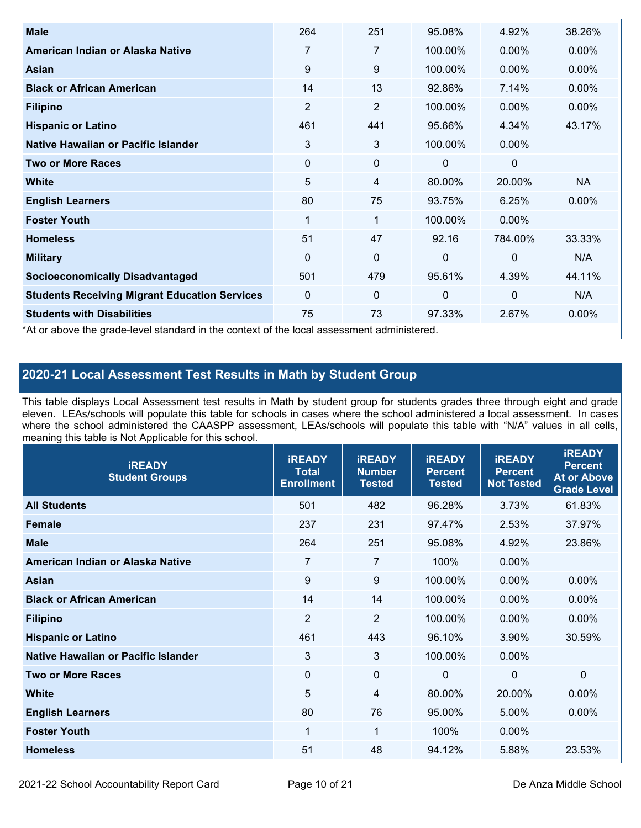| <b>Male</b>                                                                                | 264            | 251            | 95.08%       | 4.92%       | 38.26%    |
|--------------------------------------------------------------------------------------------|----------------|----------------|--------------|-------------|-----------|
| American Indian or Alaska Native                                                           | $\overline{7}$ | 7              | 100.00%      | $0.00\%$    | $0.00\%$  |
| <b>Asian</b>                                                                               | 9              | 9              | 100.00%      | $0.00\%$    | 0.00%     |
| <b>Black or African American</b>                                                           | 14             | 13             | 92.86%       | 7.14%       | $0.00\%$  |
| <b>Filipino</b>                                                                            | $\overline{2}$ | $\overline{2}$ | 100.00%      | $0.00\%$    | 0.00%     |
| <b>Hispanic or Latino</b>                                                                  | 461            | 441            | 95.66%       | 4.34%       | 43.17%    |
| Native Hawaiian or Pacific Islander                                                        | 3              | 3              | 100.00%      | 0.00%       |           |
| <b>Two or More Races</b>                                                                   | $\mathbf 0$    | 0              | 0            | 0           |           |
| White                                                                                      | 5              | 4              | 80.00%       | 20.00%      | <b>NA</b> |
| <b>English Learners</b>                                                                    | 80             | 75             | 93.75%       | 6.25%       | $0.00\%$  |
| <b>Foster Youth</b>                                                                        | 1              | 1              | 100.00%      | $0.00\%$    |           |
| <b>Homeless</b>                                                                            | 51             | 47             | 92.16        | 784.00%     | 33.33%    |
| <b>Military</b>                                                                            | $\Omega$       | $\mathbf 0$    | $\mathbf{0}$ | $\mathbf 0$ | N/A       |
| <b>Socioeconomically Disadvantaged</b>                                                     | 501            | 479            | 95.61%       | 4.39%       | 44.11%    |
| <b>Students Receiving Migrant Education Services</b>                                       | 0              | 0              | $\mathbf 0$  | $\mathbf 0$ | N/A       |
| <b>Students with Disabilities</b>                                                          | 75             | 73             | 97.33%       | 2.67%       | 0.00%     |
| *At or above the grade-level standard in the context of the local assessment administered. |                |                |              |             |           |

### **2020-21 Local Assessment Test Results in Math by Student Group**

This table displays Local Assessment test results in Math by student group for students grades three through eight and grade eleven. LEAs/schools will populate this table for schools in cases where the school administered a local assessment. In cases where the school administered the CAASPP assessment, LEAs/schools will populate this table with "N/A" values in all cells, meaning this table is Not Applicable for this school.

| <b>iREADY</b><br><b>Student Groups</b> | <b>IREADY</b><br><b>Total</b><br><b>Enrollment</b> | <b>iREADY</b><br><b>Number</b><br><b>Tested</b> | <b>iREADY</b><br><b>Percent</b><br><b>Tested</b> | <b>IREADY</b><br><b>Percent</b><br><b>Not Tested</b> | <b>IREADY</b><br><b>Percent</b><br><b>At or Above</b><br><b>Grade Level</b> |
|----------------------------------------|----------------------------------------------------|-------------------------------------------------|--------------------------------------------------|------------------------------------------------------|-----------------------------------------------------------------------------|
| <b>All Students</b>                    | 501                                                | 482                                             | 96.28%                                           | 3.73%                                                | 61.83%                                                                      |
| <b>Female</b>                          | 237                                                | 231                                             | 97.47%                                           | 2.53%                                                | 37.97%                                                                      |
| <b>Male</b>                            | 264                                                | 251                                             | 95.08%                                           | 4.92%                                                | 23.86%                                                                      |
| American Indian or Alaska Native       | $\overline{7}$                                     | $\overline{7}$                                  | 100%                                             | 0.00%                                                |                                                                             |
| <b>Asian</b>                           | 9                                                  | 9                                               | 100.00%                                          | 0.00%                                                | 0.00%                                                                       |
| <b>Black or African American</b>       | 14                                                 | 14                                              | 100.00%                                          | 0.00%                                                | 0.00%                                                                       |
| <b>Filipino</b>                        | $\overline{2}$                                     | $\overline{2}$                                  | 100.00%                                          | 0.00%                                                | 0.00%                                                                       |
| <b>Hispanic or Latino</b>              | 461                                                | 443                                             | 96.10%                                           | 3.90%                                                | 30.59%                                                                      |
| Native Hawaiian or Pacific Islander    | 3                                                  | 3                                               | 100.00%                                          | 0.00%                                                |                                                                             |
| <b>Two or More Races</b>               | $\Omega$                                           | $\mathbf 0$                                     | $\mathbf{0}$                                     | $\mathbf 0$                                          | $\Omega$                                                                    |
| <b>White</b>                           | 5                                                  | 4                                               | 80.00%                                           | 20.00%                                               | $0.00\%$                                                                    |
| <b>English Learners</b>                | 80                                                 | 76                                              | 95.00%                                           | 5.00%                                                | 0.00%                                                                       |
| <b>Foster Youth</b>                    | 1                                                  | 1                                               | 100%                                             | 0.00%                                                |                                                                             |
| <b>Homeless</b>                        | 51                                                 | 48                                              | 94.12%                                           | 5.88%                                                | 23.53%                                                                      |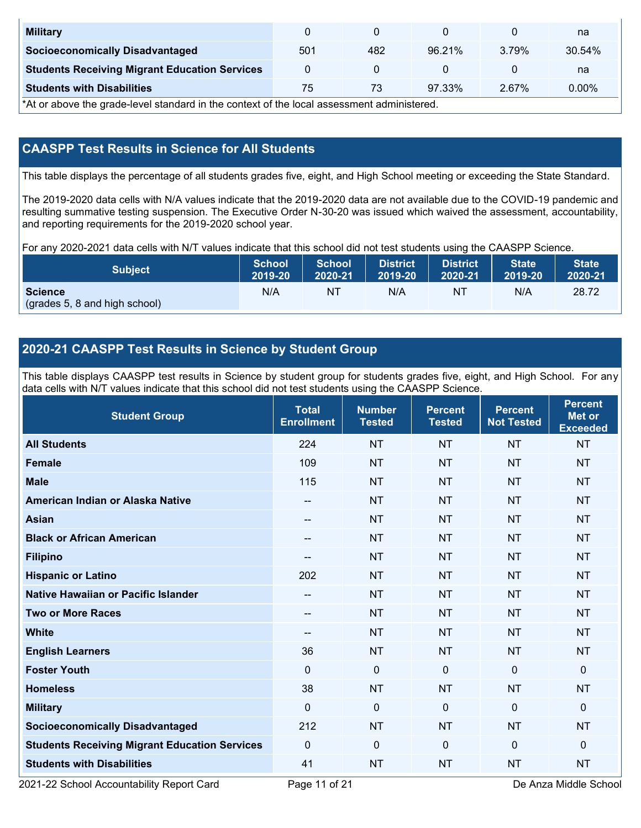| <b>Military</b>                                      |     |     |        |       | na       |
|------------------------------------------------------|-----|-----|--------|-------|----------|
| <b>Socioeconomically Disadvantaged</b>               | 501 | 482 | 96.21% | 3.79% | 30.54%   |
| <b>Students Receiving Migrant Education Services</b> |     |     |        |       | na       |
| <b>Students with Disabilities</b>                    | 75  | 73  | 97.33% | 2.67% | $0.00\%$ |

\*At or above the grade-level standard in the context of the local assessment administered.

### **CAASPP Test Results in Science for All Students**

This table displays the percentage of all students grades five, eight, and High School meeting or exceeding the State Standard.

The 2019-2020 data cells with N/A values indicate that the 2019-2020 data are not available due to the COVID-19 pandemic and resulting summative testing suspension. The Executive Order N-30-20 was issued which waived the assessment, accountability, and reporting requirements for the 2019-2020 school year.

For any 2020-2021 data cells with N/T values indicate that this school did not test students using the CAASPP Science.

| <b>Subject</b>                                  | <b>School</b> | <b>School</b> | <b>District</b> | <b>District</b> | <b>State</b> | <b>State</b> |
|-------------------------------------------------|---------------|---------------|-----------------|-----------------|--------------|--------------|
|                                                 | 2019-20       | 2020-21       | 2019-20         | 2020-21         | 2019-20      | 2020-21      |
| <b>Science</b><br>(grades 5, 8 and high school) | N/A           | ΝT            | N/A             | N1              | N/A          | 28.72        |

### **2020-21 CAASPP Test Results in Science by Student Group**

This table displays CAASPP test results in Science by student group for students grades five, eight, and High School. For any data cells with N/T values indicate that this school did not test students using the CAASPP Science.

| <b>Student Group</b>                                 | <b>Total</b><br><b>Enrollment</b> | <b>Number</b><br><b>Tested</b> | <b>Percent</b><br><b>Tested</b> | <b>Percent</b><br><b>Not Tested</b> | <b>Percent</b><br>Met or<br><b>Exceeded</b> |
|------------------------------------------------------|-----------------------------------|--------------------------------|---------------------------------|-------------------------------------|---------------------------------------------|
| <b>All Students</b>                                  | 224                               | <b>NT</b>                      | <b>NT</b>                       | <b>NT</b>                           | <b>NT</b>                                   |
| <b>Female</b>                                        | 109                               | <b>NT</b>                      | <b>NT</b>                       | <b>NT</b>                           | <b>NT</b>                                   |
| <b>Male</b>                                          | 115                               | <b>NT</b>                      | <b>NT</b>                       | <b>NT</b>                           | <b>NT</b>                                   |
| American Indian or Alaska Native                     | --                                | <b>NT</b>                      | <b>NT</b>                       | <b>NT</b>                           | <b>NT</b>                                   |
| <b>Asian</b>                                         | --                                | <b>NT</b>                      | <b>NT</b>                       | <b>NT</b>                           | <b>NT</b>                                   |
| <b>Black or African American</b>                     | --                                | <b>NT</b>                      | <b>NT</b>                       | <b>NT</b>                           | <b>NT</b>                                   |
| <b>Filipino</b>                                      | --                                | <b>NT</b>                      | <b>NT</b>                       | <b>NT</b>                           | <b>NT</b>                                   |
| <b>Hispanic or Latino</b>                            | 202                               | <b>NT</b>                      | <b>NT</b>                       | <b>NT</b>                           | <b>NT</b>                                   |
| <b>Native Hawaiian or Pacific Islander</b>           | --                                | <b>NT</b>                      | <b>NT</b>                       | <b>NT</b>                           | <b>NT</b>                                   |
| <b>Two or More Races</b>                             | --                                | <b>NT</b>                      | <b>NT</b>                       | <b>NT</b>                           | <b>NT</b>                                   |
| <b>White</b>                                         | --                                | <b>NT</b>                      | <b>NT</b>                       | <b>NT</b>                           | <b>NT</b>                                   |
| <b>English Learners</b>                              | 36                                | <b>NT</b>                      | <b>NT</b>                       | <b>NT</b>                           | <b>NT</b>                                   |
| <b>Foster Youth</b>                                  | $\Omega$                          | $\mathbf 0$                    | $\mathbf{0}$                    | $\mathbf{0}$                        | 0                                           |
| <b>Homeless</b>                                      | 38                                | <b>NT</b>                      | <b>NT</b>                       | <b>NT</b>                           | <b>NT</b>                                   |
| <b>Military</b>                                      | $\mathbf 0$                       | $\mathbf 0$                    | $\mathbf 0$                     | $\mathbf 0$                         | 0                                           |
| <b>Socioeconomically Disadvantaged</b>               | 212                               | <b>NT</b>                      | <b>NT</b>                       | <b>NT</b>                           | <b>NT</b>                                   |
| <b>Students Receiving Migrant Education Services</b> | $\mathbf{0}$                      | $\mathbf 0$                    | $\mathbf 0$                     | $\mathbf{0}$                        | 0                                           |
| <b>Students with Disabilities</b>                    | 41                                | <b>NT</b>                      | <b>NT</b>                       | <b>NT</b>                           | <b>NT</b>                                   |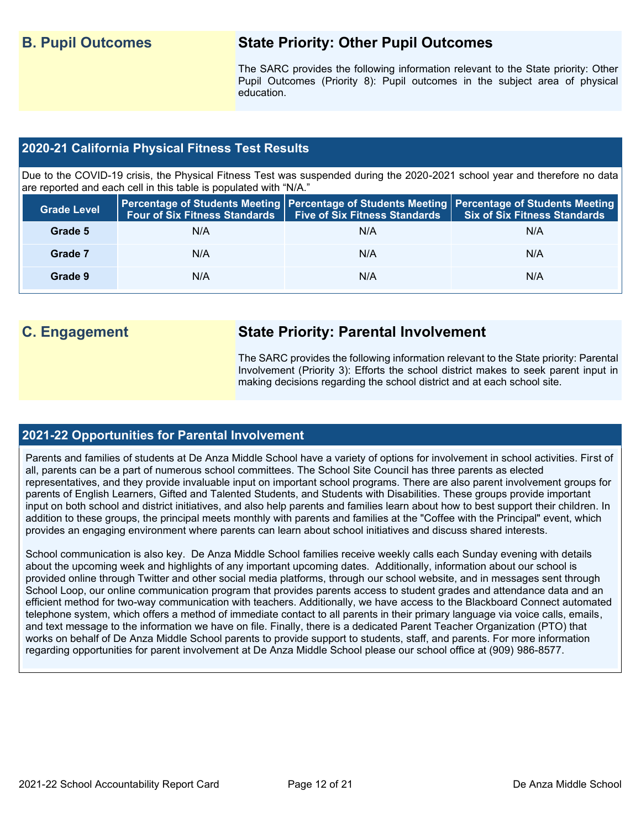## **B. Pupil Outcomes State Priority: Other Pupil Outcomes**

The SARC provides the following information relevant to the State priority: Other Pupil Outcomes (Priority 8): Pupil outcomes in the subject area of physical education.

#### **2020-21 California Physical Fitness Test Results**

Due to the COVID-19 crisis, the Physical Fitness Test was suspended during the 2020-2021 school year and therefore no data are reported and each cell in this table is populated with "N/A."

| <b>Grade Level</b> |     | Four of Six Fitness Standards   Five of Six Fitness Standards | <b>Percentage of Students Meeting   Percentage of Students Meeting   Percentage of Students Meeting  </b><br><b>Six of Six Fitness Standards</b> |
|--------------------|-----|---------------------------------------------------------------|--------------------------------------------------------------------------------------------------------------------------------------------------|
| Grade 5            | N/A | N/A                                                           | N/A                                                                                                                                              |
| Grade 7            | N/A | N/A                                                           | N/A                                                                                                                                              |
| Grade 9            | N/A | N/A                                                           | N/A                                                                                                                                              |

## **C. Engagement State Priority: Parental Involvement**

The SARC provides the following information relevant to the State priority: Parental Involvement (Priority 3): Efforts the school district makes to seek parent input in making decisions regarding the school district and at each school site.

#### **2021-22 Opportunities for Parental Involvement**

Parents and families of students at De Anza Middle School have a variety of options for involvement in school activities. First of all, parents can be a part of numerous school committees. The School Site Council has three parents as elected representatives, and they provide invaluable input on important school programs. There are also parent involvement groups for parents of English Learners, Gifted and Talented Students, and Students with Disabilities. These groups provide important input on both school and district initiatives, and also help parents and families learn about how to best support their children. In addition to these groups, the principal meets monthly with parents and families at the "Coffee with the Principal" event, which provides an engaging environment where parents can learn about school initiatives and discuss shared interests.

School communication is also key. De Anza Middle School families receive weekly calls each Sunday evening with details about the upcoming week and highlights of any important upcoming dates. Additionally, information about our school is provided online through Twitter and other social media platforms, through our school website, and in messages sent through School Loop, our online communication program that provides parents access to student grades and attendance data and an efficient method for two-way communication with teachers. Additionally, we have access to the Blackboard Connect automated telephone system, which offers a method of immediate contact to all parents in their primary language via voice calls, emails, and text message to the information we have on file. Finally, there is a dedicated Parent Teacher Organization (PTO) that works on behalf of De Anza Middle School parents to provide support to students, staff, and parents. For more information regarding opportunities for parent involvement at De Anza Middle School please our school office at (909) 986-8577.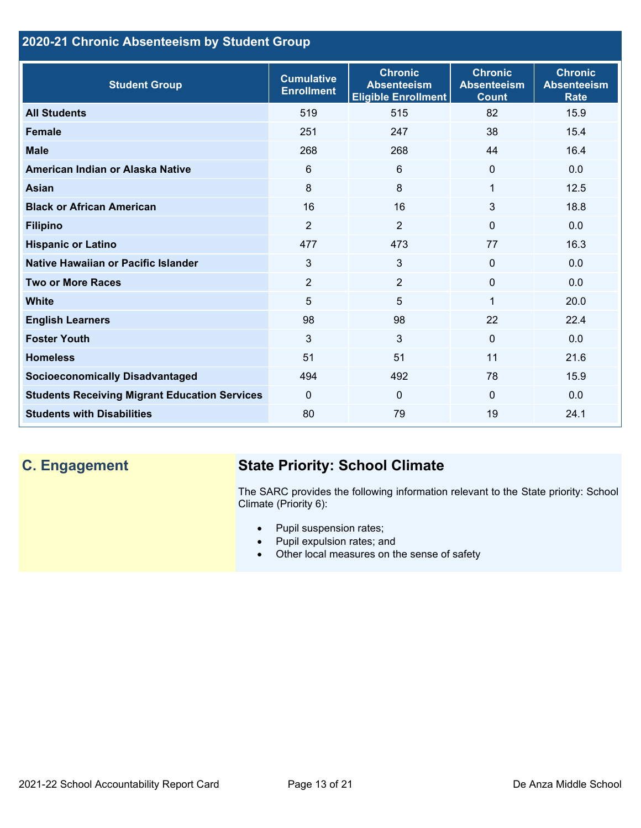## **2020-21 Chronic Absenteeism by Student Group**

| <b>Student Group</b>                                 | <b>Cumulative</b><br><b>Enrollment</b> | <b>Chronic</b><br><b>Absenteeism</b><br><b>Eligible Enrollment</b> | <b>Chronic</b><br><b>Absenteeism</b><br><b>Count</b> | <b>Chronic</b><br><b>Absenteeism</b><br><b>Rate</b> |
|------------------------------------------------------|----------------------------------------|--------------------------------------------------------------------|------------------------------------------------------|-----------------------------------------------------|
| <b>All Students</b>                                  | 519                                    | 515                                                                | 82                                                   | 15.9                                                |
| <b>Female</b>                                        | 251                                    | 247                                                                | 38                                                   | 15.4                                                |
| <b>Male</b>                                          | 268                                    | 268                                                                | 44                                                   | 16.4                                                |
| American Indian or Alaska Native                     | 6                                      | 6                                                                  | $\mathbf{0}$                                         | 0.0                                                 |
| <b>Asian</b>                                         | 8                                      | 8                                                                  | 1                                                    | 12.5                                                |
| <b>Black or African American</b>                     | 16                                     | 16                                                                 | 3                                                    | 18.8                                                |
| <b>Filipino</b>                                      | $\overline{2}$                         | $\overline{2}$                                                     | $\mathbf{0}$                                         | 0.0                                                 |
| <b>Hispanic or Latino</b>                            | 477                                    | 473                                                                | 77                                                   | 16.3                                                |
| Native Hawaiian or Pacific Islander                  | 3                                      | 3                                                                  | $\mathbf 0$                                          | 0.0                                                 |
| <b>Two or More Races</b>                             | $\overline{2}$                         | $\overline{2}$                                                     | $\mathbf{0}$                                         | 0.0                                                 |
| <b>White</b>                                         | 5                                      | 5                                                                  | 1                                                    | 20.0                                                |
| <b>English Learners</b>                              | 98                                     | 98                                                                 | 22                                                   | 22.4                                                |
| <b>Foster Youth</b>                                  | 3                                      | 3                                                                  | $\Omega$                                             | 0.0                                                 |
| <b>Homeless</b>                                      | 51                                     | 51                                                                 | 11                                                   | 21.6                                                |
| <b>Socioeconomically Disadvantaged</b>               | 494                                    | 492                                                                | 78                                                   | 15.9                                                |
| <b>Students Receiving Migrant Education Services</b> | $\Omega$                               | $\mathbf{0}$                                                       | $\mathbf{0}$                                         | 0.0                                                 |
| <b>Students with Disabilities</b>                    | 80                                     | 79                                                                 | 19                                                   | 24.1                                                |

# **C. Engagement State Priority: School Climate**

The SARC provides the following information relevant to the State priority: School Climate (Priority 6):

- Pupil suspension rates;
- Pupil expulsion rates; and
- Other local measures on the sense of safety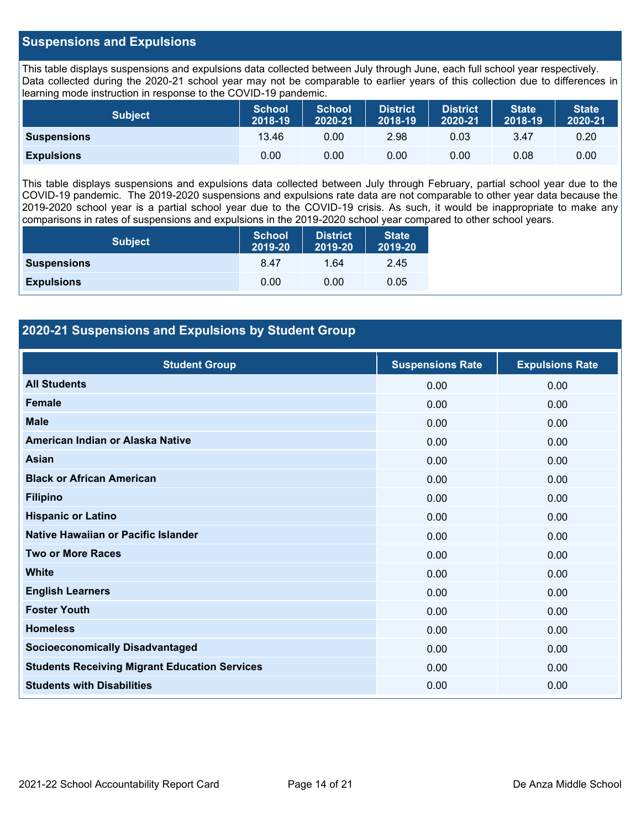#### **Suspensions and Expulsions**

This table displays suspensions and expulsions data collected between July through June, each full school year respectively. Data collected during the 2020-21 school year may not be comparable to earlier years of this collection due to differences in learning mode instruction in response to the COVID-19 pandemic.

| Subject            | <b>School</b><br>2018-19 | <b>School</b><br>2020-21 | <b>District</b><br>2018-19 | <b>District</b><br>2020-21 | <b>State</b><br>2018-19 | <b>State</b><br>2020-21 |
|--------------------|--------------------------|--------------------------|----------------------------|----------------------------|-------------------------|-------------------------|
| <b>Suspensions</b> | 13.46                    | 0.00                     | 2.98                       | 0.03                       | 3.47                    | 0.20                    |
| <b>Expulsions</b>  | 0.00                     | 0.00                     | 0.00                       | 0.00                       | 0.08                    | 0.00                    |

This table displays suspensions and expulsions data collected between July through February, partial school year due to the COVID-19 pandemic. The 2019-2020 suspensions and expulsions rate data are not comparable to other year data because the 2019-2020 school year is a partial school year due to the COVID-19 crisis. As such, it would be inappropriate to make any comparisons in rates of suspensions and expulsions in the 2019-2020 school year compared to other school years.

| <b>Subject</b>     | <b>School</b><br>2019-20 | <b>District</b><br>2019-20 | <b>State</b><br>2019-20 |
|--------------------|--------------------------|----------------------------|-------------------------|
| <b>Suspensions</b> | 8.47                     | 1.64                       | 2.45                    |
| <b>Expulsions</b>  | 0.00                     | 0.00                       | 0.05                    |

#### **2020-21 Suspensions and Expulsions by Student Group**

| <b>Student Group</b>                                 | <b>Suspensions Rate</b> | <b>Expulsions Rate</b> |
|------------------------------------------------------|-------------------------|------------------------|
| <b>All Students</b>                                  | 0.00                    | 0.00                   |
| <b>Female</b>                                        | 0.00                    | 0.00                   |
| <b>Male</b>                                          | 0.00                    | 0.00                   |
| American Indian or Alaska Native                     | 0.00                    | 0.00                   |
| <b>Asian</b>                                         | 0.00                    | 0.00                   |
| <b>Black or African American</b>                     | 0.00                    | 0.00                   |
| <b>Filipino</b>                                      | 0.00                    | 0.00                   |
| <b>Hispanic or Latino</b>                            | 0.00                    | 0.00                   |
| Native Hawaiian or Pacific Islander                  | 0.00                    | 0.00                   |
| <b>Two or More Races</b>                             | 0.00                    | 0.00                   |
| <b>White</b>                                         | 0.00                    | 0.00                   |
| <b>English Learners</b>                              | 0.00                    | 0.00                   |
| <b>Foster Youth</b>                                  | 0.00                    | 0.00                   |
| <b>Homeless</b>                                      | 0.00                    | 0.00                   |
| <b>Socioeconomically Disadvantaged</b>               | 0.00                    | 0.00                   |
| <b>Students Receiving Migrant Education Services</b> | 0.00                    | 0.00                   |
| <b>Students with Disabilities</b>                    | 0.00                    | 0.00                   |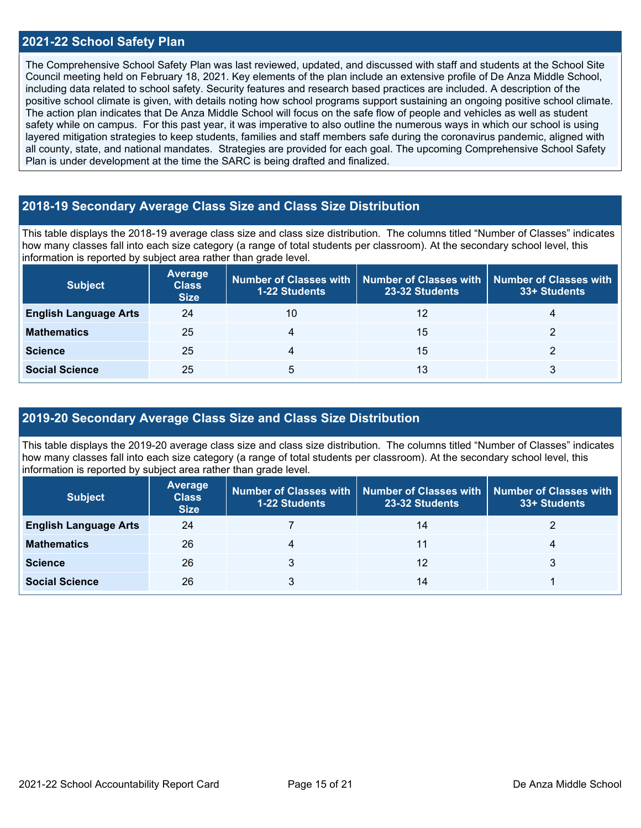#### **2021-22 School Safety Plan**

The Comprehensive School Safety Plan was last reviewed, updated, and discussed with staff and students at the School Site Council meeting held on February 18, 2021. Key elements of the plan include an extensive profile of De Anza Middle School, including data related to school safety. Security features and research based practices are included. A description of the positive school climate is given, with details noting how school programs support sustaining an ongoing positive school climate. The action plan indicates that De Anza Middle School will focus on the safe flow of people and vehicles as well as student safety while on campus. For this past year, it was imperative to also outline the numerous ways in which our school is using layered mitigation strategies to keep students, families and staff members safe during the coronavirus pandemic, aligned with all county, state, and national mandates. Strategies are provided for each goal. The upcoming Comprehensive School Safety Plan is under development at the time the SARC is being drafted and finalized.

#### **2018-19 Secondary Average Class Size and Class Size Distribution**

This table displays the 2018-19 average class size and class size distribution. The columns titled "Number of Classes" indicates how many classes fall into each size category (a range of total students per classroom). At the secondary school level, this information is reported by subject area rather than grade level.

| <b>Subject</b>               | Average<br><b>Class</b><br><b>Size</b> | <b>1-22 Students</b> | Number of Classes with   Number of Classes with   Number of Classes with<br>23-32 Students | 33+ Students |
|------------------------------|----------------------------------------|----------------------|--------------------------------------------------------------------------------------------|--------------|
| <b>English Language Arts</b> | 24                                     | 10                   | 12                                                                                         |              |
| <b>Mathematics</b>           | 25                                     |                      | 15                                                                                         |              |
| <b>Science</b>               | 25                                     |                      | 15                                                                                         |              |
| <b>Social Science</b>        | 25                                     | 5                    | 13                                                                                         |              |

#### **2019-20 Secondary Average Class Size and Class Size Distribution**

This table displays the 2019-20 average class size and class size distribution. The columns titled "Number of Classes" indicates how many classes fall into each size category (a range of total students per classroom). At the secondary school level, this information is reported by subject area rather than grade level.

| <b>Subject</b>               | Average<br><b>Class</b><br><b>Size</b> | <b>1-22 Students</b> | Number of Classes with   Number of Classes with<br>23-32 Students | <b>Number of Classes with</b><br>33+ Students |
|------------------------------|----------------------------------------|----------------------|-------------------------------------------------------------------|-----------------------------------------------|
| <b>English Language Arts</b> | 24                                     |                      | 14                                                                |                                               |
| <b>Mathematics</b>           | 26                                     |                      |                                                                   |                                               |
| <b>Science</b>               | 26                                     |                      | 12                                                                |                                               |
| <b>Social Science</b>        | 26                                     |                      | 14                                                                |                                               |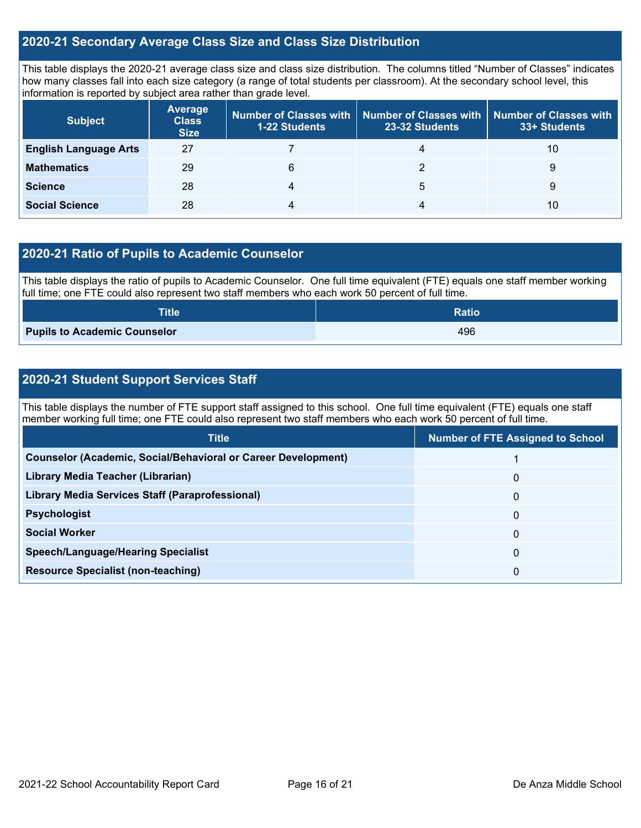#### **2020-21 Secondary Average Class Size and Class Size Distribution**

This table displays the 2020-21 average class size and class size distribution. The columns titled "Number of Classes" indicates how many classes fall into each size category (a range of total students per classroom). At the secondary school level, this information is reported by subject area rather than grade level.

| <b>Subject</b>               | <b>Average</b><br><b>Class</b><br><b>Size</b> | <b>1-22 Students</b> | Number of Classes with   Number of Classes with<br>23-32 Students | <b>Number of Classes with</b><br>33+ Students |
|------------------------------|-----------------------------------------------|----------------------|-------------------------------------------------------------------|-----------------------------------------------|
| <b>English Language Arts</b> | 27                                            |                      | 4                                                                 | 10                                            |
| <b>Mathematics</b>           | 29                                            | 6                    |                                                                   | 9                                             |
| <b>Science</b>               | 28                                            |                      | 5                                                                 | 9                                             |
| <b>Social Science</b>        | 28                                            |                      | 4                                                                 | 10                                            |

#### **2020-21 Ratio of Pupils to Academic Counselor**

This table displays the ratio of pupils to Academic Counselor. One full time equivalent (FTE) equals one staff member working full time; one FTE could also represent two staff members who each work 50 percent of full time.

| <b>Title</b>                        | <b>Ratio</b> |
|-------------------------------------|--------------|
| <b>Pupils to Academic Counselor</b> | 496          |

#### **2020-21 Student Support Services Staff**

This table displays the number of FTE support staff assigned to this school. One full time equivalent (FTE) equals one staff member working full time; one FTE could also represent two staff members who each work 50 percent of full time.

| <b>Title</b>                                                         | <b>Number of FTE Assigned to School</b> |
|----------------------------------------------------------------------|-----------------------------------------|
| <b>Counselor (Academic, Social/Behavioral or Career Development)</b> |                                         |
| Library Media Teacher (Librarian)                                    | $\mathbf{0}$                            |
| Library Media Services Staff (Paraprofessional)                      | $\mathbf{0}$                            |
| <b>Psychologist</b>                                                  | $\mathbf{0}$                            |
| <b>Social Worker</b>                                                 | 0                                       |
| <b>Speech/Language/Hearing Specialist</b>                            | $\mathbf{0}$                            |
| <b>Resource Specialist (non-teaching)</b>                            | 0                                       |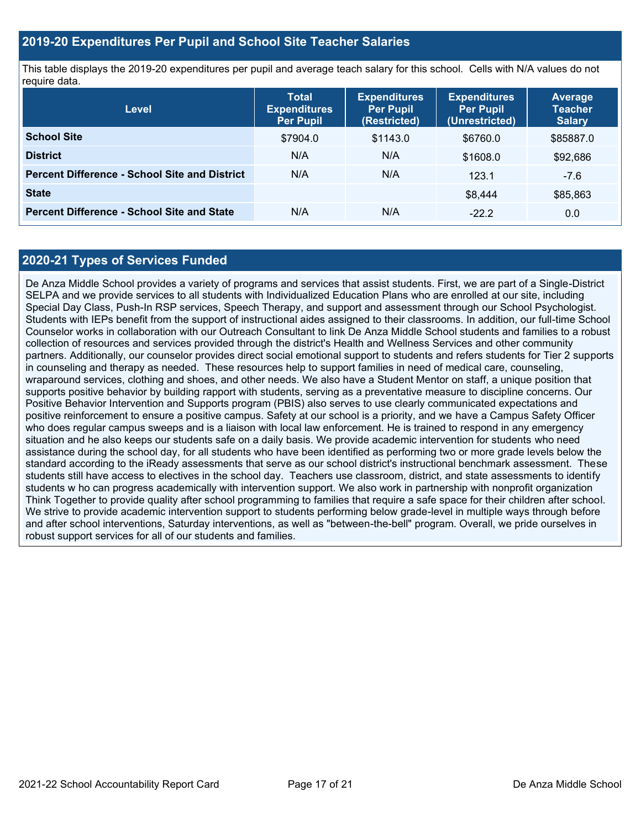#### **2019-20 Expenditures Per Pupil and School Site Teacher Salaries**

This table displays the 2019-20 expenditures per pupil and average teach salary for this school. Cells with N/A values do not require data.

| Level                                                | <b>Total</b><br><b>Expenditures</b><br><b>Per Pupil</b> | <b>Expenditures</b><br><b>Per Pupil</b><br>(Restricted) | <b>Expenditures</b><br>Per Pupil<br>(Unrestricted) | Average<br><b>Teacher</b><br><b>Salary</b> |
|------------------------------------------------------|---------------------------------------------------------|---------------------------------------------------------|----------------------------------------------------|--------------------------------------------|
| <b>School Site</b>                                   | \$7904.0                                                | \$1143.0                                                | \$6760.0                                           | \$85887.0                                  |
| <b>District</b>                                      | N/A                                                     | N/A                                                     | \$1608.0                                           | \$92,686                                   |
| <b>Percent Difference - School Site and District</b> | N/A                                                     | N/A                                                     | 123.1                                              | $-7.6$                                     |
| <b>State</b>                                         |                                                         |                                                         | \$8,444                                            | \$85,863                                   |
| <b>Percent Difference - School Site and State</b>    | N/A                                                     | N/A                                                     | $-22.2$                                            | 0.0                                        |

#### **2020-21 Types of Services Funded**

De Anza Middle School provides a variety of programs and services that assist students. First, we are part of a Single-District SELPA and we provide services to all students with Individualized Education Plans who are enrolled at our site, including Special Day Class, Push-In RSP services, Speech Therapy, and support and assessment through our School Psychologist. Students with IEPs benefit from the support of instructional aides assigned to their classrooms. In addition, our full-time School Counselor works in collaboration with our Outreach Consultant to link De Anza Middle School students and families to a robust collection of resources and services provided through the district's Health and Wellness Services and other community partners. Additionally, our counselor provides direct social emotional support to students and refers students for Tier 2 supports in counseling and therapy as needed. These resources help to support families in need of medical care, counseling, wraparound services, clothing and shoes, and other needs. We also have a Student Mentor on staff, a unique position that supports positive behavior by building rapport with students, serving as a preventative measure to discipline concerns. Our Positive Behavior Intervention and Supports program (PBIS) also serves to use clearly communicated expectations and positive reinforcement to ensure a positive campus. Safety at our school is a priority, and we have a Campus Safety Officer who does regular campus sweeps and is a liaison with local law enforcement. He is trained to respond in any emergency situation and he also keeps our students safe on a daily basis. We provide academic intervention for students who need assistance during the school day, for all students who have been identified as performing two or more grade levels below the standard according to the iReady assessments that serve as our school district's instructional benchmark assessment. These students still have access to electives in the school day. Teachers use classroom, district, and state assessments to identify students w ho can progress academically with intervention support. We also work in partnership with nonprofit organization Think Together to provide quality after school programming to families that require a safe space for their children after school. We strive to provide academic intervention support to students performing below grade-level in multiple ways through before and after school interventions, Saturday interventions, as well as "between-the-bell" program. Overall, we pride ourselves in robust support services for all of our students and families.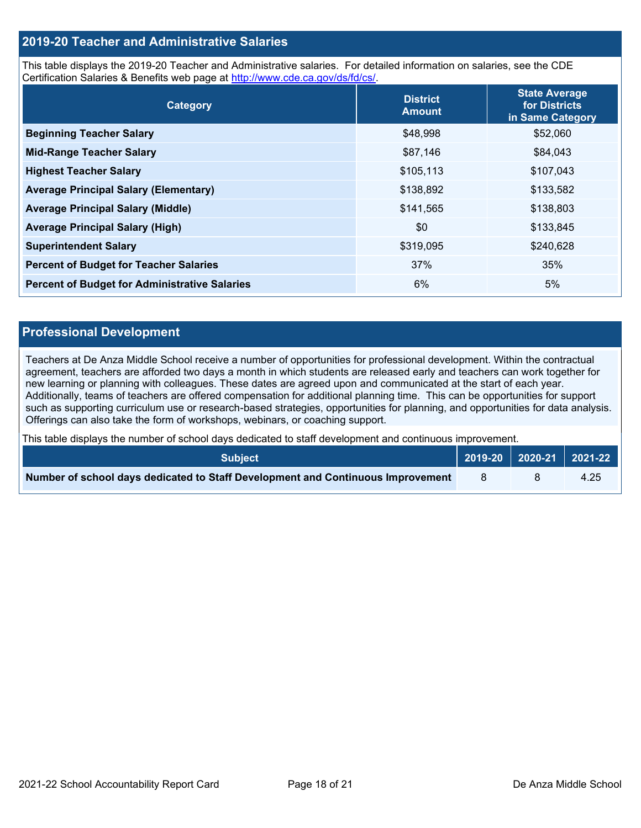#### **2019-20 Teacher and Administrative Salaries**

This table displays the 2019-20 Teacher and Administrative salaries. For detailed information on salaries, see the CDE Certification Salaries & Benefits web page at [http://www.cde.ca.gov/ds/fd/cs/.](http://www.cde.ca.gov/ds/fd/cs/)

| Category                                             | <b>District</b><br><b>Amount</b> | <b>State Average</b><br>for Districts<br>in Same Category |
|------------------------------------------------------|----------------------------------|-----------------------------------------------------------|
| <b>Beginning Teacher Salary</b>                      | \$48,998                         | \$52,060                                                  |
| <b>Mid-Range Teacher Salary</b>                      | \$87,146                         | \$84,043                                                  |
| <b>Highest Teacher Salary</b>                        | \$105,113                        | \$107,043                                                 |
| <b>Average Principal Salary (Elementary)</b>         | \$138,892                        | \$133,582                                                 |
| <b>Average Principal Salary (Middle)</b>             | \$141,565                        | \$138,803                                                 |
| <b>Average Principal Salary (High)</b>               | \$0                              | \$133,845                                                 |
| <b>Superintendent Salary</b>                         | \$319,095                        | \$240,628                                                 |
| <b>Percent of Budget for Teacher Salaries</b>        | 37%                              | 35%                                                       |
| <b>Percent of Budget for Administrative Salaries</b> | 6%                               | 5%                                                        |

#### **Professional Development**

Teachers at De Anza Middle School receive a number of opportunities for professional development. Within the contractual agreement, teachers are afforded two days a month in which students are released early and teachers can work together for new learning or planning with colleagues. These dates are agreed upon and communicated at the start of each year. Additionally, teams of teachers are offered compensation for additional planning time. This can be opportunities for support such as supporting curriculum use or research-based strategies, opportunities for planning, and opportunities for data analysis. Offerings can also take the form of workshops, webinars, or coaching support.

This table displays the number of school days dedicated to staff development and continuous improvement.

| <b>Subiect</b> \                                                                |  | 2019-20   2020-21   2021-22 |
|---------------------------------------------------------------------------------|--|-----------------------------|
| Number of school days dedicated to Staff Development and Continuous Improvement |  | 4.25                        |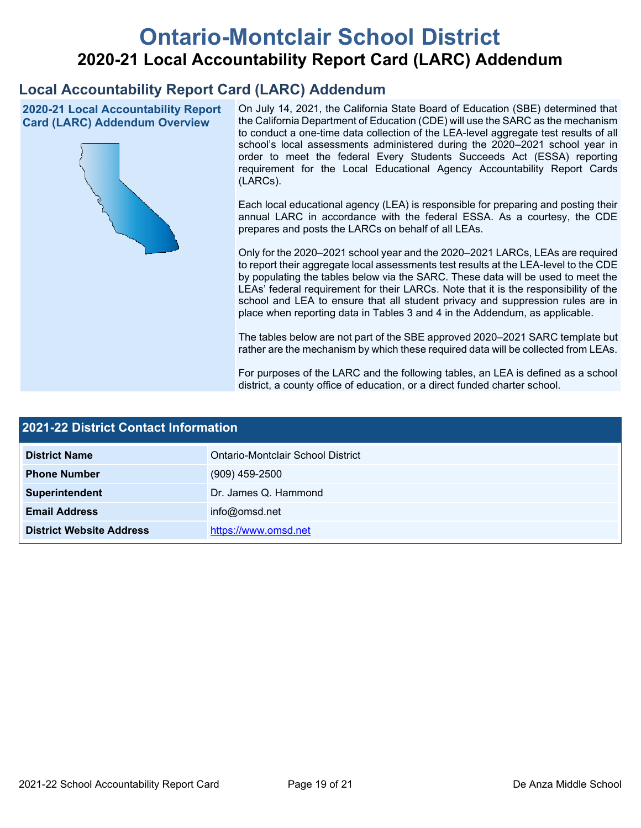# **Ontario-Montclair School District 2020-21 Local Accountability Report Card (LARC) Addendum**

## **Local Accountability Report Card (LARC) Addendum**

**2020-21 Local Accountability Report Card (LARC) Addendum Overview**



On July 14, 2021, the California State Board of Education (SBE) determined that the California Department of Education (CDE) will use the SARC as the mechanism to conduct a one-time data collection of the LEA-level aggregate test results of all school's local assessments administered during the 2020–2021 school year in order to meet the federal Every Students Succeeds Act (ESSA) reporting requirement for the Local Educational Agency Accountability Report Cards (LARCs).

Each local educational agency (LEA) is responsible for preparing and posting their annual LARC in accordance with the federal ESSA. As a courtesy, the CDE prepares and posts the LARCs on behalf of all LEAs.

Only for the 2020–2021 school year and the 2020–2021 LARCs, LEAs are required to report their aggregate local assessments test results at the LEA-level to the CDE by populating the tables below via the SARC. These data will be used to meet the LEAs' federal requirement for their LARCs. Note that it is the responsibility of the school and LEA to ensure that all student privacy and suppression rules are in place when reporting data in Tables 3 and 4 in the Addendum, as applicable.

The tables below are not part of the SBE approved 2020–2021 SARC template but rather are the mechanism by which these required data will be collected from LEAs.

For purposes of the LARC and the following tables, an LEA is defined as a school district, a county office of education, or a direct funded charter school.

| 2021-22 District Contact Information |                                   |  |
|--------------------------------------|-----------------------------------|--|
| <b>District Name</b>                 | Ontario-Montclair School District |  |
| <b>Phone Number</b>                  | $(909)$ 459-2500                  |  |
| Superintendent                       | Dr. James Q. Hammond              |  |
| <b>Email Address</b>                 | info@omsd.net                     |  |
| <b>District Website Address</b>      | https://www.omsd.net              |  |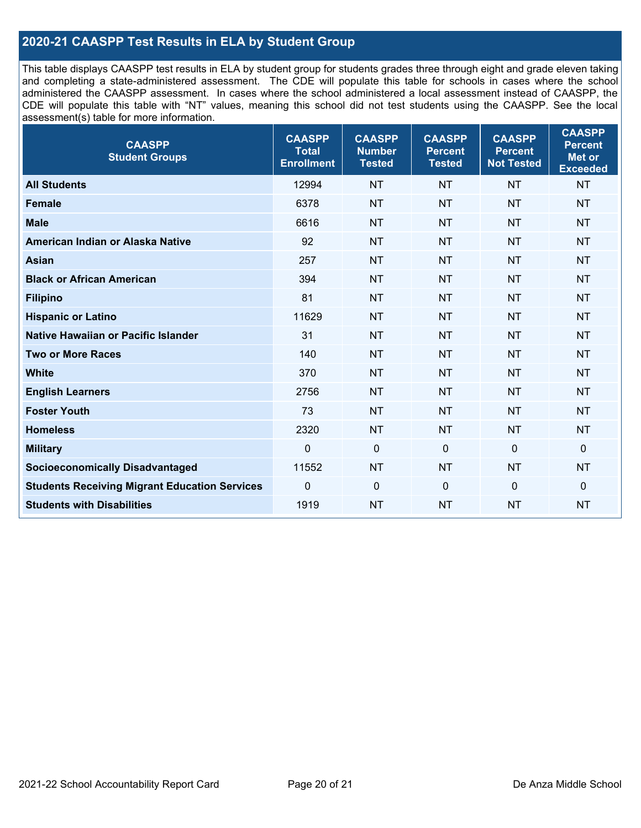#### **2020-21 CAASPP Test Results in ELA by Student Group**

This table displays CAASPP test results in ELA by student group for students grades three through eight and grade eleven taking and completing a state-administered assessment. The CDE will populate this table for schools in cases where the school administered the CAASPP assessment. In cases where the school administered a local assessment instead of CAASPP, the CDE will populate this table with "NT" values, meaning this school did not test students using the CAASPP. See the local assessment(s) table for more information.

| <b>CAASPP</b><br><b>Student Groups</b>               | <b>CAASPP</b><br><b>Total</b><br><b>Enrollment</b> | <b>CAASPP</b><br><b>Number</b><br><b>Tested</b> | <b>CAASPP</b><br><b>Percent</b><br><b>Tested</b> | <b>CAASPP</b><br><b>Percent</b><br><b>Not Tested</b> | <b>CAASPP</b><br><b>Percent</b><br>Met or<br><b>Exceeded</b> |
|------------------------------------------------------|----------------------------------------------------|-------------------------------------------------|--------------------------------------------------|------------------------------------------------------|--------------------------------------------------------------|
| <b>All Students</b>                                  | 12994                                              | <b>NT</b>                                       | <b>NT</b>                                        | <b>NT</b>                                            | <b>NT</b>                                                    |
| <b>Female</b>                                        | 6378                                               | <b>NT</b>                                       | <b>NT</b>                                        | <b>NT</b>                                            | <b>NT</b>                                                    |
| <b>Male</b>                                          | 6616                                               | <b>NT</b>                                       | <b>NT</b>                                        | <b>NT</b>                                            | <b>NT</b>                                                    |
| American Indian or Alaska Native                     | 92                                                 | <b>NT</b>                                       | <b>NT</b>                                        | <b>NT</b>                                            | <b>NT</b>                                                    |
| <b>Asian</b>                                         | 257                                                | <b>NT</b>                                       | <b>NT</b>                                        | <b>NT</b>                                            | <b>NT</b>                                                    |
| <b>Black or African American</b>                     | 394                                                | <b>NT</b>                                       | <b>NT</b>                                        | <b>NT</b>                                            | <b>NT</b>                                                    |
| <b>Filipino</b>                                      | 81                                                 | <b>NT</b>                                       | <b>NT</b>                                        | <b>NT</b>                                            | <b>NT</b>                                                    |
| <b>Hispanic or Latino</b>                            | 11629                                              | <b>NT</b>                                       | <b>NT</b>                                        | <b>NT</b>                                            | <b>NT</b>                                                    |
| <b>Native Hawaiian or Pacific Islander</b>           | 31                                                 | <b>NT</b>                                       | <b>NT</b>                                        | <b>NT</b>                                            | <b>NT</b>                                                    |
| <b>Two or More Races</b>                             | 140                                                | <b>NT</b>                                       | <b>NT</b>                                        | <b>NT</b>                                            | <b>NT</b>                                                    |
| <b>White</b>                                         | 370                                                | <b>NT</b>                                       | <b>NT</b>                                        | <b>NT</b>                                            | <b>NT</b>                                                    |
| <b>English Learners</b>                              | 2756                                               | <b>NT</b>                                       | <b>NT</b>                                        | <b>NT</b>                                            | <b>NT</b>                                                    |
| <b>Foster Youth</b>                                  | 73                                                 | <b>NT</b>                                       | <b>NT</b>                                        | <b>NT</b>                                            | <b>NT</b>                                                    |
| <b>Homeless</b>                                      | 2320                                               | <b>NT</b>                                       | <b>NT</b>                                        | <b>NT</b>                                            | <b>NT</b>                                                    |
| <b>Military</b>                                      | $\mathbf 0$                                        | $\mathbf 0$                                     | $\mathbf 0$                                      | $\mathbf 0$                                          | 0                                                            |
| <b>Socioeconomically Disadvantaged</b>               | 11552                                              | <b>NT</b>                                       | <b>NT</b>                                        | <b>NT</b>                                            | <b>NT</b>                                                    |
| <b>Students Receiving Migrant Education Services</b> | 0                                                  | $\mathbf 0$                                     | $\mathbf{0}$                                     | $\mathbf 0$                                          | 0                                                            |
| <b>Students with Disabilities</b>                    | 1919                                               | <b>NT</b>                                       | <b>NT</b>                                        | <b>NT</b>                                            | <b>NT</b>                                                    |